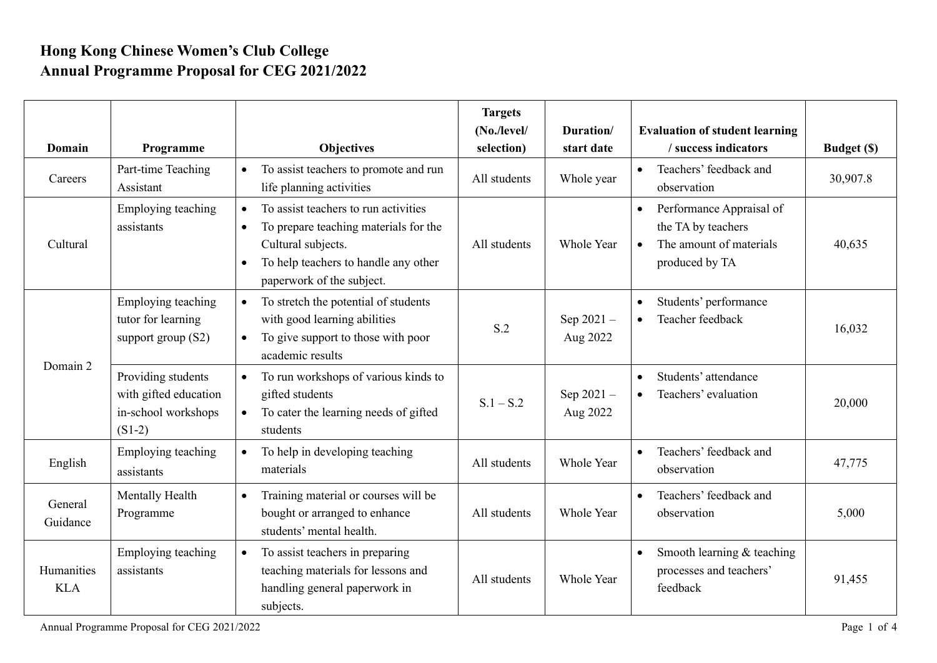## **Hong Kong Chinese Women's Club College Annual Programme Proposal for CEG 2021/2022**

| Domain                   | Programme                                                                      | <b>Objectives</b>                                                                                                                                                                                               | <b>Targets</b><br>(No./level/<br>selection) | Duration/<br>start date  | <b>Evaluation of student learning</b><br>/ success indicators                                            | <b>Budget (\$)</b> |
|--------------------------|--------------------------------------------------------------------------------|-----------------------------------------------------------------------------------------------------------------------------------------------------------------------------------------------------------------|---------------------------------------------|--------------------------|----------------------------------------------------------------------------------------------------------|--------------------|
| Careers                  | Part-time Teaching<br>Assistant                                                | To assist teachers to promote and run<br>life planning activities                                                                                                                                               | All students                                | Whole year               | Teachers' feedback and<br>observation                                                                    | 30,907.8           |
| Cultural                 | Employing teaching<br>assistants                                               | To assist teachers to run activities<br>$\bullet$<br>To prepare teaching materials for the<br>$\bullet$<br>Cultural subjects.<br>To help teachers to handle any other<br>$\bullet$<br>paperwork of the subject. | All students                                | Whole Year               | Performance Appraisal of<br>$\bullet$<br>the TA by teachers<br>The amount of materials<br>produced by TA | 40,635             |
| Domain 2                 | Employing teaching<br>tutor for learning<br>support group $(S2)$               | To stretch the potential of students<br>with good learning abilities<br>To give support to those with poor<br>$\bullet$<br>academic results                                                                     | S.2                                         | Sep 2021-<br>Aug 2022    | Students' performance<br>Teacher feedback                                                                | 16,032             |
|                          | Providing students<br>with gifted education<br>in-school workshops<br>$(S1-2)$ | To run workshops of various kinds to<br>gifted students<br>To cater the learning needs of gifted<br>students                                                                                                    | $S.1 - S.2$                                 | Sep $2021 -$<br>Aug 2022 | Students' attendance<br>Teachers' evaluation<br>$\bullet$                                                | 20,000             |
| English                  | Employing teaching<br>assistants                                               | To help in developing teaching<br>$\bullet$<br>materials                                                                                                                                                        | All students                                | Whole Year               | Teachers' feedback and<br>observation                                                                    | 47,775             |
| General<br>Guidance      | Mentally Health<br>Programme                                                   | Training material or courses will be<br>$\bullet$<br>bought or arranged to enhance<br>students' mental health.                                                                                                  | All students                                | <b>Whole Year</b>        | Teachers' feedback and<br>observation                                                                    | 5,000              |
| Humanities<br><b>KLA</b> | Employing teaching<br>assistants                                               | To assist teachers in preparing<br>teaching materials for lessons and<br>handling general paperwork in<br>subjects.                                                                                             | All students                                | <b>Whole Year</b>        | Smooth learning & teaching<br>processes and teachers'<br>feedback                                        | 91,455             |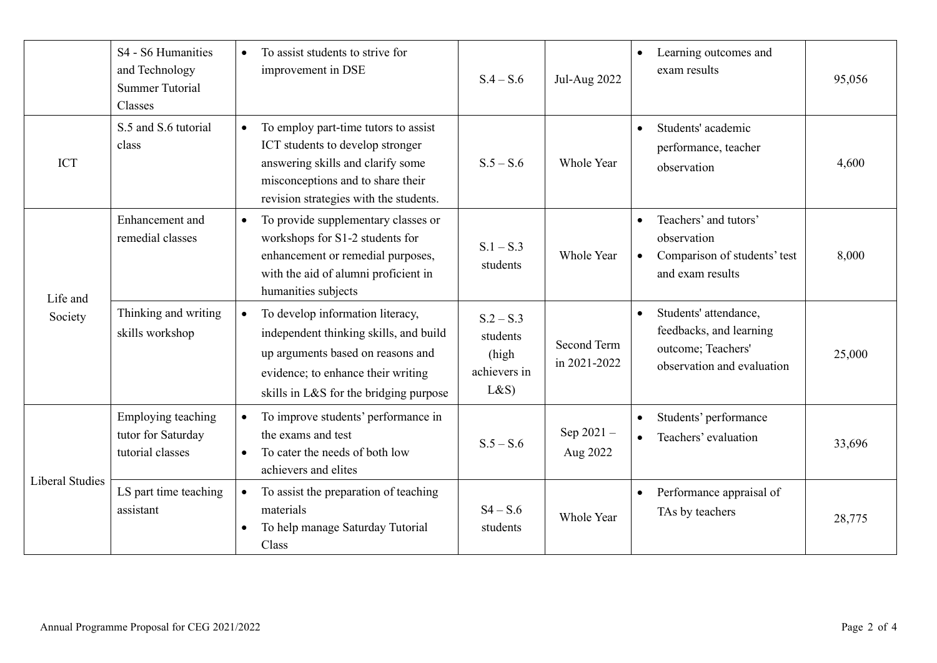|                        | S4 - S6 Humanities<br>and Technology<br><b>Summer Tutorial</b><br>Classes | To assist students to strive for<br>$\bullet$<br>improvement in DSE                                                                                                                                          | $S.4 - S.6$                                             | <b>Jul-Aug 2022</b>         | Learning outcomes and<br>$\bullet$<br>exam results                                                                | 95,056 |
|------------------------|---------------------------------------------------------------------------|--------------------------------------------------------------------------------------------------------------------------------------------------------------------------------------------------------------|---------------------------------------------------------|-----------------------------|-------------------------------------------------------------------------------------------------------------------|--------|
| <b>ICT</b>             | S.5 and S.6 tutorial<br>class                                             | To employ part-time tutors to assist<br>$\bullet$<br>ICT students to develop stronger<br>answering skills and clarify some<br>misconceptions and to share their<br>revision strategies with the students.    | $S.5 - S.6$                                             | Whole Year                  | Students' academic<br>$\bullet$<br>performance, teacher<br>observation                                            | 4,600  |
| Life and<br>Society    | Enhancement and<br>remedial classes                                       | To provide supplementary classes or<br>$\bullet$<br>workshops for S1-2 students for<br>enhancement or remedial purposes,<br>with the aid of alumni proficient in<br>humanities subjects                      | $S.1 - S.3$<br>students                                 | Whole Year                  | Teachers' and tutors'<br>observation<br>Comparison of students' test<br>and exam results                          | 8,000  |
|                        | Thinking and writing<br>skills workshop                                   | To develop information literacy,<br>$\bullet$<br>independent thinking skills, and build<br>up arguments based on reasons and<br>evidence; to enhance their writing<br>skills in L&S for the bridging purpose | $S.2 - S.3$<br>students<br>(high<br>achievers in<br>L&S | Second Term<br>in 2021-2022 | Students' attendance,<br>$\bullet$<br>feedbacks, and learning<br>outcome; Teachers'<br>observation and evaluation | 25,000 |
| <b>Liberal Studies</b> | Employing teaching<br>tutor for Saturday<br>tutorial classes              | To improve students' performance in<br>$\bullet$<br>the exams and test<br>To cater the needs of both low<br>$\bullet$<br>achievers and elites                                                                | $S.5 - S.6$                                             | Sep 2021-<br>Aug 2022       | Students' performance<br>$\bullet$<br>Teachers' evaluation<br>$\bullet$                                           | 33,696 |
|                        | LS part time teaching<br>assistant                                        | To assist the preparation of teaching<br>materials<br>To help manage Saturday Tutorial<br>$\bullet$<br>Class                                                                                                 | $S4 - S.6$<br>students                                  | Whole Year                  | Performance appraisal of<br>$\bullet$<br>TAs by teachers                                                          | 28,775 |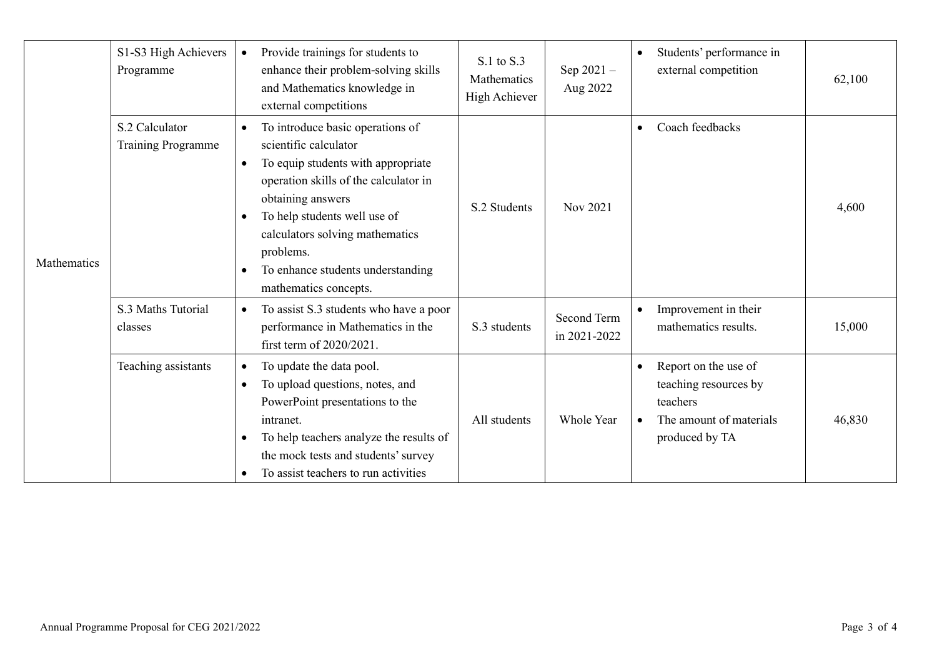| Mathematics | S1-S3 High Achievers<br>Programme           | $\bullet$                           | Provide trainings for students to<br>enhance their problem-solving skills<br>and Mathematics knowledge in<br>external competitions                                                                                                                                                                          | S.1 to S.3<br>Mathematics<br>High Achiever | Sep 2021-<br>Aug 2022       | $\bullet$              | Students' performance in<br>external competition                                                       | 62,100 |
|-------------|---------------------------------------------|-------------------------------------|-------------------------------------------------------------------------------------------------------------------------------------------------------------------------------------------------------------------------------------------------------------------------------------------------------------|--------------------------------------------|-----------------------------|------------------------|--------------------------------------------------------------------------------------------------------|--------|
|             | S.2 Calculator<br><b>Training Programme</b> | $\bullet$<br>$\bullet$<br>$\bullet$ | To introduce basic operations of<br>scientific calculator<br>To equip students with appropriate<br>operation skills of the calculator in<br>obtaining answers<br>To help students well use of<br>calculators solving mathematics<br>problems.<br>To enhance students understanding<br>mathematics concepts. | S.2 Students                               | Nov 2021                    | $\bullet$              | Coach feedbacks                                                                                        | 4,600  |
|             | S.3 Maths Tutorial<br>classes               | $\bullet$                           | To assist S.3 students who have a poor<br>performance in Mathematics in the<br>first term of 2020/2021.                                                                                                                                                                                                     | S.3 students                               | Second Term<br>in 2021-2022 | $\bullet$              | Improvement in their<br>mathematics results.                                                           | 15,000 |
|             | Teaching assistants                         | $\bullet$<br>$\bullet$              | To update the data pool.<br>To upload questions, notes, and<br>PowerPoint presentations to the<br>intranet.<br>To help teachers analyze the results of<br>the mock tests and students' survey<br>To assist teachers to run activities                                                                       | All students                               | Whole Year                  | $\bullet$<br>$\bullet$ | Report on the use of<br>teaching resources by<br>teachers<br>The amount of materials<br>produced by TA | 46,830 |